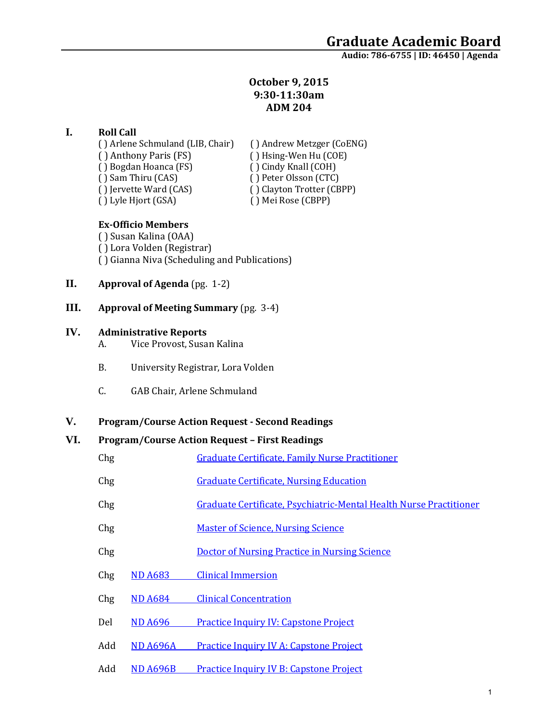# **October 9, 2015 9:30-11:30am ADM 204**

## **I. Roll Call**

( ) Arlene Schmuland (LIB, Chair) ( ) Andrew Metzger (CoENG)<br>( ) Anthony Paris (FS) ( ) Hsing-Wen Hu (COE) ( ) Bogdan Hoanca (FS)<br>( ) Sam Thiru (CAS) ( ) Sam Thiru (CAS) ( ) Peter Olsson (CTC)<br>( ) lervette Ward (CAS) ( ) Clayton Trotter (CB ( ) Jervette Ward (CAS) ( ) Clayton Trotter (CBPP)<br>( ) Lyle Hjort (GSA) ( ) Mei Rose (CBPP)

( ) Hsing-Wen Hu (COE)<br>( ) Cindy Knall (COH) ( ) Mei Rose (CBPP)

## **Ex-Officio Members**

( ) Susan Kalina (OAA) ( ) Lora Volden (Registrar) ( ) Gianna Niva (Scheduling and Publications)

- **II. Approval of Agenda** (pg. 1-2)
- **III. Approval of Meeting Summary** (pg. 3-4)

### **IV. Administrative Reports**

- A. Vice Provost, Susan Kalina
- B. University Registrar, Lora Volden
- C. GAB Chair, Arlene Schmuland

## **V. Program/Course Action Request - Second Readings**

## **VI. Program/Course Action Request – First Readings**

| Chg | <b>Graduate Certificate, Family Nurse Practitioner</b>             |
|-----|--------------------------------------------------------------------|
| Chg | <b>Graduate Certificate, Nursing Education</b>                     |
| Chg | Graduate Certificate, Psychiatric-Mental Health Nurse Practitioner |
| Chg | <b>Master of Science, Nursing Science</b>                          |
| Chg | <b>Doctor of Nursing Practice in Nursing Science</b>               |

- Chg ND A683 [Clinical Immersion](https://nextcatalog.uaa.alaska.edu/courseleaf/courseleaf.cgi?page=/courseadmin/4667/index.html&step=tcadiff)
- Chg ND A684 [Clinical Concentration](https://nextcatalog.uaa.alaska.edu/courseleaf/courseleaf.cgi?page=/courseadmin/4668/index.html&step=tcadiff)
- Del ND A696 [Practice Inquiry IV: Capstone Project](https://nextcatalog.uaa.alaska.edu/courseleaf/courseleaf.cgi?page=/courseadmin/4669/index.html&step=tcadiff)
- Add ND A696A [Practice Inquiry IV A: Capstone Project](https://nextcatalog.uaa.alaska.edu/courseleaf/courseleaf.cgi?page=/courseadmin/6200/index.html&step=tcadiff)
- Add ND A696B [Practice Inquiry IV B: Capstone Project](https://nextcatalog.uaa.alaska.edu/courseleaf/courseleaf.cgi?page=/courseadmin/6201/index.html&step=tcadiff)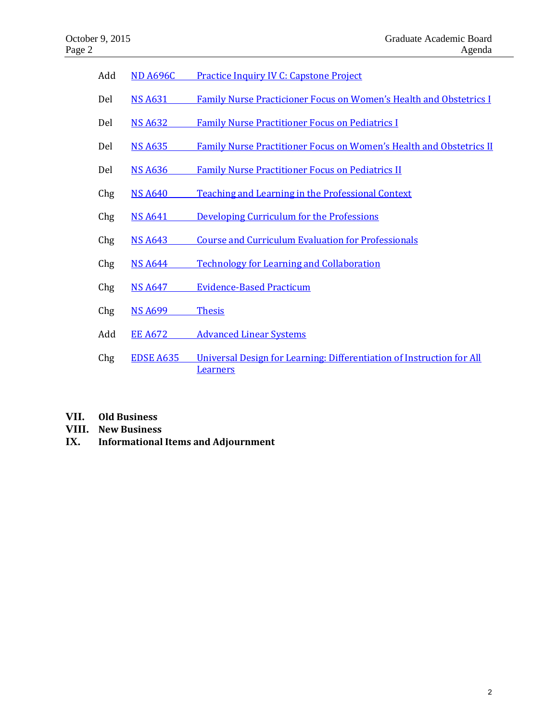| Add | <b>ND A696C</b>  | <b>Practice Inquiry IV C: Capstone Project</b>                                           |
|-----|------------------|------------------------------------------------------------------------------------------|
| Del | <b>NS A631</b>   | <b>Family Nurse Practicioner Focus on Women's Health and Obstetrics I</b>                |
| Del | <b>NS A632</b>   | <b>Family Nurse Practitioner Focus on Pediatrics I</b>                                   |
| Del | <b>NS A635</b>   | Family Nurse Practitioner Focus on Women's Health and Obstetrics II                      |
| Del | <b>NS A636</b>   | <b>Family Nurse Practitioner Focus on Pediatrics II</b>                                  |
| Chg | <b>NS A640</b>   | <b>Teaching and Learning in the Professional Context</b>                                 |
| Chg | <b>NS A641</b>   | Developing Curriculum for the Professions                                                |
| Chg | <b>NS A643</b>   | <b>Course and Curriculum Evaluation for Professionals</b>                                |
| Chg | <b>NS A644</b>   | <b>Technology for Learning and Collaboration</b>                                         |
| Chg | <b>NS A647</b>   | <b>Evidence-Based Practicum</b>                                                          |
| Chg | <b>NS A699</b>   | <b>Thesis</b>                                                                            |
| Add | <b>EE A672</b>   | <b>Advanced Linear Systems</b>                                                           |
| Chg | <b>EDSE A635</b> | Universal Design for Learning: Differentiation of Instruction for All<br><b>Learners</b> |

- **VII. Old Business**
- **VIII. New Business**
- **IX. Informational Items and Adjournment**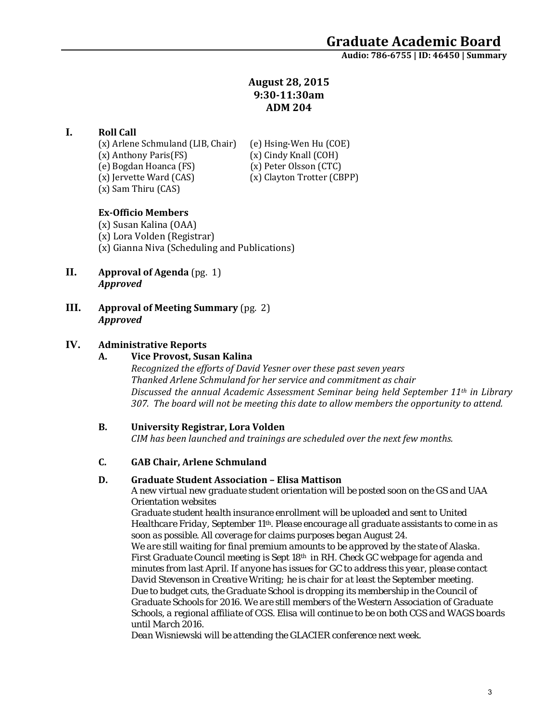# **August 28, 2015 9:30-11:30am ADM 204**

### **I. Roll Call**

(x) Arlene Schmuland (LIB, Chair) (e) Hsing-Wen Hu (COE)<br>(x) Anthony Paris(FS) (x) Cindy Knall (COH) (x) Anthony Paris(FS) (x) Cindy Knall (COH)<br>(e) Bogdan Hoanca (FS) (x) Peter Olsson (CTC) (e) Bogdan Hoanca (FS)<br>(x) Jervette Ward (CAS) (x) Sam Thiru (CAS)

(x) Clayton Trotter (CBPP)

### **Ex-Officio Members**

(x) Susan Kalina (OAA) (x) Lora Volden (Registrar) (x) Gianna Niva (Scheduling and Publications)

- **II. Approval of Agenda** (pg. 1) *Approved*
- **III. Approval of Meeting Summary** (pg. 2) *Approved*

### **IV. Administrative Reports**

#### **A. Vice Provost, Susan Kalina**

*Recognized the efforts of David Yesner over these past seven years Thanked Arlene Schmuland for her service and commitment as chair Discussed the annual Academic Assessment Seminar being held September 11th in Library 307. The board will not be meeting this date to allow members the opportunity to attend.* 

### **B. University Registrar, Lora Volden**

*CIM has been launched and trainings are scheduled over the next few months.* 

#### **C. GAB Chair, Arlene Schmuland**

#### **D. Graduate Student Association – Elisa Mattison**

*A new virtual new graduate student orientation will be posted soon on the GS and UAA Orientation websites*

*Graduate student health insurance enrollment will be uploaded and sent to United Healthcare Friday, September 11th. Please encourage all graduate assistants to come in as soon as possible. All coverage for claims purposes began August 24.* 

*We are still waiting for final premium amounts to be approved by the state of Alaska. First Graduate Council meeting is Sept 18th in RH. Check GC webpage for agenda and minutes from last April. If anyone has issues for GC to address this year, please contact David Stevenson in Creative Writing; he is chair for at least the September meeting. Due to budget cuts, the Graduate School is dropping its membership in the Council of Graduate Schools for 2016. We are still members of the Western Association of Graduate Schools, a regional affiliate of CGS. Elisa will continue to be on both CGS and WAGS boards until March 2016.*

*Dean Wisniewski will be attending the GLACIER conference next week.*